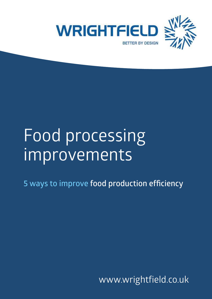

# Food processing improvements

**5 ways to improve food production efficiency**

www.wrightfield.co.uk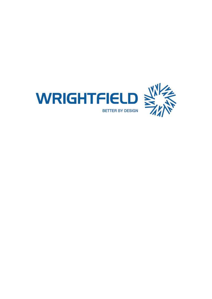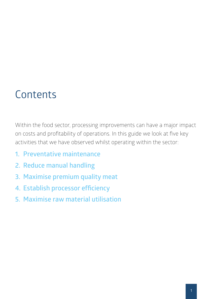### **Contents**

Within the food sector, processing improvements can have a major impact on costs and profitability of operations. In this guide we look at five key activities that we have observed whilst operating within the sector:

- **1. Preventative maintenance**
- **2. Reduce manual handling**
- **3. Maximise premium quality meat**
- **4. Establish processor efficiency**
- **5. Maximise raw material utilisation**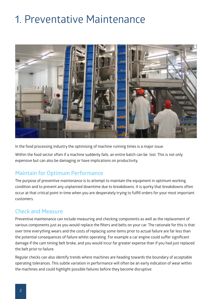## 1. Preventative Maintenance



In the food processing industry the optimising of machine running times is a major issue.

Within the food sector often if a machine suddenly fails, an entire batch can be lost. This is not only expensive but can also be damaging or have implications on productivity.

#### **Maintain for Optimum Performance**

The purpose of preventive maintenance is to attempt to maintain the equipment in optimum working condition and to prevent any unplanned downtime due to breakdowns. It is quirky that breakdowns often occur at that critical point in time when you are desperately trying to fulfill orders for your most important customers.

#### **Check and Measure**

Preventive maintenance can include measuring and checking components as well as the replacement of various components just as you would replace the filters and belts on your car. The rationale for this is that over time everything wears and the costs of replacing some items prior to actual failure are far less than the potential consequences of failure whilst operating. For example a car engine could suffer significant damage if the cam timing belt broke, and you would incur far greater expense than if you had just replaced the belt prior to failure.

Regular checks can also identify trends where machines are heading towards the boundary of acceptable operating tolerances. This subtle variation in performance will often be an early indication of wear within the machines and could highlight possible failures before they become disruptive.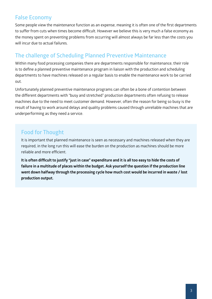#### **False Economy**

Some people view the maintenance function as an expense, meaning it is often one of the first departments to suffer from cuts when times become difficult. However we believe this is very much a false economy as the money spent on preventing problems from occurring will almost always be far less than the costs you will incur due to actual failures.

#### **The challenge of Scheduling Planned Preventive Maintenance**

Within many food processing companies there are departments responsible for maintenance, their role is to define a planned preventive maintenance program in liaison with the production and scheduling departments to have machines released on a regular basis to enable the maintenance work to be carried out.

Unfortunately planned preventive maintenance programs can often be a bone of contention between the different departments with "busy and stretched" production departments often refusing to release machines due to the need to meet customer demand. However, often the reason for being so busy is the result of having to work around delays and quality problems caused through unreliable machines that are underperforming as they need a service.

#### **Food for Thought**

It is important that planned maintenance is seen as necessary and machines released when they are required, in the long run this will ease the burden on the production as machines should be more reliable and more efficient.

**It is often difficult to justify "just in case" expenditure and it is all too easy to hide the costs of failure in a multitude of places within the budget. Ask yourself the question if the production line went down halfway through the processing cycle how much cost would be incurred in waste / lost production output.**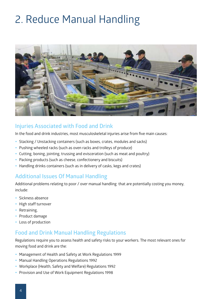# 2. Reduce Manual Handling



#### **Injuries Associated with Food and Drink**

In the food and drink industries, most musculoskeletal injuries arise from five main causes:

- Stacking / Unstacking containers (such as boxes, crates, modules and sacks)
- Pushing wheeled racks (such as oven racks and trolleys of produce)
- Cutting, boning, jointing, trussing and evisceration (such as meat and poultry)
- Packing products (such as cheese, confectionery and biscuits)
- Handling drinks containers (such as in delivery of casks, kegs and crates)

#### **Additional Issues Of Manual Handling**

Additional problems relating to poor / over manual handling that are potentially costing you money, include:

- Sickness absence
- High staff turnover
- Retraining,
- Product damage
- Loss of production

#### **Food and Drink Manual Handling Regulations**

Regulations require you to assess health and safety risks to your workers. The most relevant ones for moving food and drink are the:

- Management of Health and Safety at Work Regulations 1999
- Manual Handling Operations Regulations 1992
- Workplace (Health, Safety and Welfare) Regulations 1992
- Provision and Use of Work Equipment Regulations 1998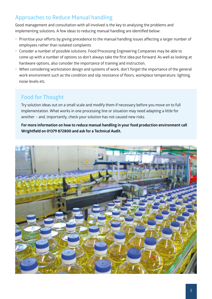### **Approaches to Reduce Manual handling**

Good management and consultation with all involved is the key to analysing the problems and implementing solutions. A few ideas to reducing manual handling are identified below:

- Prioritise your efforts by giving precedence to the manual handling issues affecting a larger number of employees rather than isolated complaints
- Consider a number of possible solutions. Food Processing Engineering Companies may be able to come up with a number of options so don't always take the first idea put forward. As well as looking at hardware options, also consider the importance of training and instruction,
- When considering workstation design and systems of work, don't forget the importance of the general work environment such as the condition and slip resistance of floors, workplace temperature, lighting, noise levels etc.

#### **Food for Thought**

Try solution ideas out on a small scale and modify them if necessary before you move on to full implementation. What works in one processing line or situation may need adapting a little for another – and, importantly, check your solution has not caused new risks.

**For more information on how to reduce manual handling in your food production environment call Wrightfield on 01379 872800 and ask for a Technical Audit.**

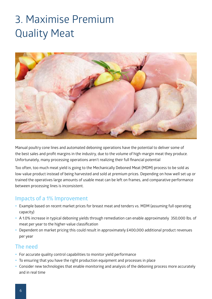## 3. Maximise Premium Quality Meat



Manual poultry cone lines and automated deboning operations have the potential to deliver some of the best sales and profit margins in the industry, due to the volume of high-margin meat they produce. Unfortunately, many processing operations aren't realizing their full financial potential

Too often, too much meat yield is going to the Mechanically Deboned Meat (MDM) process to be sold as low-value product instead of being harvested and sold at premium prices. Depending on how well set up or trained the operatives large amounts of usable meat can be left on frames, and comparative performance between processing lines is inconsistent.

#### **Impacts of a 1% Improvement**

- Example based on recent market prices for breast meat and tenders vs. MDM (assuming full operating capacity)
- A 1.0% increase in typical deboning yields through remediation can enable approximately 350,000 lbs. of meat per year to the higher-value classification
- Dependent on market pricing this could result in approximately £400,000 additional product revenues per year

#### **The need**

- For accurate quality control capabilities to monitor yield performance
- To ensuring that you have the right production equipment and processes in place
- Consider new technologies that enable monitoring and analysis of the deboning process more accurately and in real time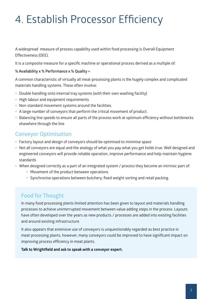## 4. Establish Processor Efficiency

A widespread measure of process capability used within food processing is Overall Equipment Effectiveness (OEE).

It is a composite measure for a specific machine or operational process derived as a multiple of:

#### **% Availability x % Performance x % Quality =**

A common characteristic of virtually all meat-processing plants is the hugely complex and complicated materials handling systems. These often involve:

- Double handling onto internal tray systems (with their own washing facility)
- High labour and equipment requirements
- Non-standard movement systems around the facilities.
- A large number of conveyors that perform the critical movement of product.
- Balancing line speeds to ensure all parts of the process work at optimum efficiency without bottlenecks elsewhere through the line

#### **Conveyor Optimisation**

- Factory layout and design of conveyors should be optimised to minimise space
- Not all conveyors are equal and the analogy of what you pay what you get holds true. Well designed and engineered conveyors will provide reliable operation, improve performance and help maintain hygiene standards
- When designed correctly as a part of an integrated system / process they become an intrinsic part of:
	- Movement of the product between operations
	- Synchronise operations between butchery, fixed weight sorting and retail packing.

#### **Food for Thought**

In many food processing plants limited attention has been given to layout and materials handling processes to achieve uninterrupted movement between value adding steps in the process. Layouts have often developed over the years as new products / processes are added into existing facilities and around existing infrastructure.

It also appears that extensive use of conveyors is unquestionably regarded as best practice in meat processing plants, however, many conveyors could be improved to have significant impact on improving process efficiency in meat plants.

#### **Talk to Wrightfield and ask to speak with a conveyor expert.**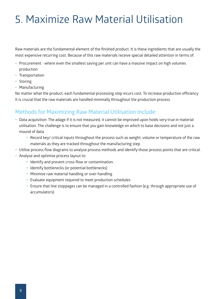### 5. Maximize Raw Material Utilisation

Raw materials are the fundamental element of the finished product. It is these ingredients that are usually the most expensive recurring cost. Because of this raw materials receive special detailed attention in terms of:

- Procurement where even the smallest saving per unit can have a massive impact on high volumes production
- Transportation
- Storing
- Manufacturing

No matter what the product, each fundamental processing step incurs cost. To increase production efficiency It is crucial that the raw materials are handled minimally throughout the production process.

#### **Methods for Maximizing Raw Material Utilisation Include:**

- Data acquisition: The adage if it is not measured, it cannot be improved upon holds very true in material utilisation. The challenge is to ensure that you gain knowledge on which to base decisions and not just a mound of data.
	- Record key/ critical inputs throughout the process such as weight, volume or temperature of the raw materials as they are tracked throughout the manufacturing step.
- Utilise process flow diagrams to analyse process methods and identify those process points that are critical.
- Analyse and optimise process layout to:
	- Identify and prevent cross-flow or contamination.
	- Identify bottlenecks (or potential bottlenecks)
	- Minimise raw material handling or over-handling
	- Evaluate equipment required to meet production schedules
	- y Ensure that line stoppages can be managed in a controlled fashion (e.g. through appropriate use of accumulators)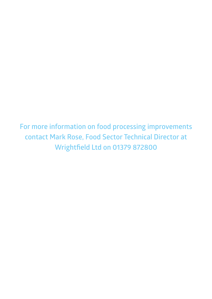**For more information on food processing improvements contact Mark Rose, Food Sector Technical Director at Wrightfield Ltd on 01379 872800**